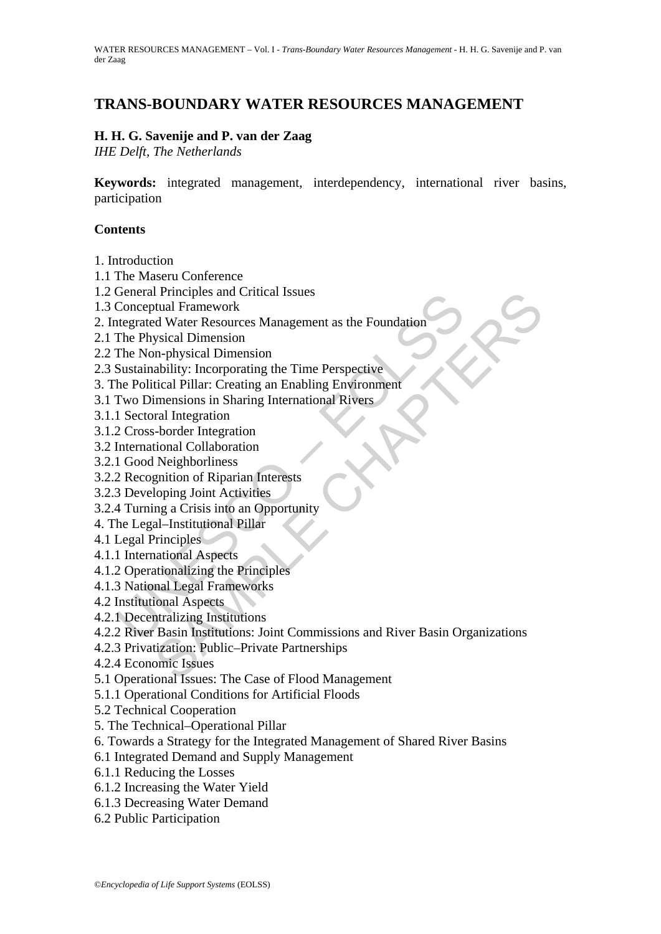# **TRANS-BOUNDARY WATER RESOURCES MANAGEMENT**

# **H. H. G. Savenije and P. van der Zaag**

*IHE Delft, The Netherlands* 

**Keywords:** integrated management, interdependency, international river basins, participation

### **Contents**

- 1. Introduction
- 1.1 The Maseru Conference
- 1.2 General Principles and Critical Issues
- 1.3 Conceptual Framework
- 2. Integrated Water Resources Management as the Foundation
- 2.1 The Physical Dimension
- 2.2 The Non-physical Dimension
- 2.3 Sustainability: Incorporating the Time Perspective
- 3. The Political Pillar: Creating an Enabling Environment
- 3.1 Two Dimensions in Sharing International Rivers
- 3.1.1 Sectoral Integration
- 3.1.2 Cross-border Integration
- 3.2 International Collaboration
- 3.2.1 Good Neighborliness
- 3.2.2 Recognition of Riparian Interests
- 3.2.3 Developing Joint Activities
- 3.2.4 Turning a Crisis into an Opportunity
- 4. The Legal–Institutional Pillar
- 4.1 Legal Principles
- 4.1.1 International Aspects
- 4.1.2 Operationalizing the Principles
- 4.1.3 National Legal Frameworks
- 4.2 Institutional Aspects
- 4.2.1 Decentralizing Institutions
- Conceptual Franework<br>
Conceptual Franework<br>
Conceptual Franework<br>
ttegrated Water Resources Management as the Foundation<br>
The Physical Dimension<br>
The Physical Dimension<br>
Sustainability: Incorporating the Time Perspective<br> 1 Principles and Critical Issues<br>
And Framework<br>
Ad Water Resources Management as the Foundation<br>
m-physical Dimension<br>
ability: Incorporating the Time Perspective<br>
tical Pillar: Creating an Enabling Environment<br>
imensions 4.2.2 River Basin Institutions: Joint Commissions and River Basin Organizations
- 4.2.3 Privatization: Public–Private Partnerships
- 4.2.4 Economic Issues
- 5.1 Operational Issues: The Case of Flood Management
- 5.1.1 Operational Conditions for Artificial Floods
- 5.2 Technical Cooperation
- 5. The Technical–Operational Pillar
- 6. Towards a Strategy for the Integrated Management of Shared River Basins
- 6.1 Integrated Demand and Supply Management
- 6.1.1 Reducing the Losses
- 6.1.2 Increasing the Water Yield
- 6.1.3 Decreasing Water Demand
- 6.2 Public Participation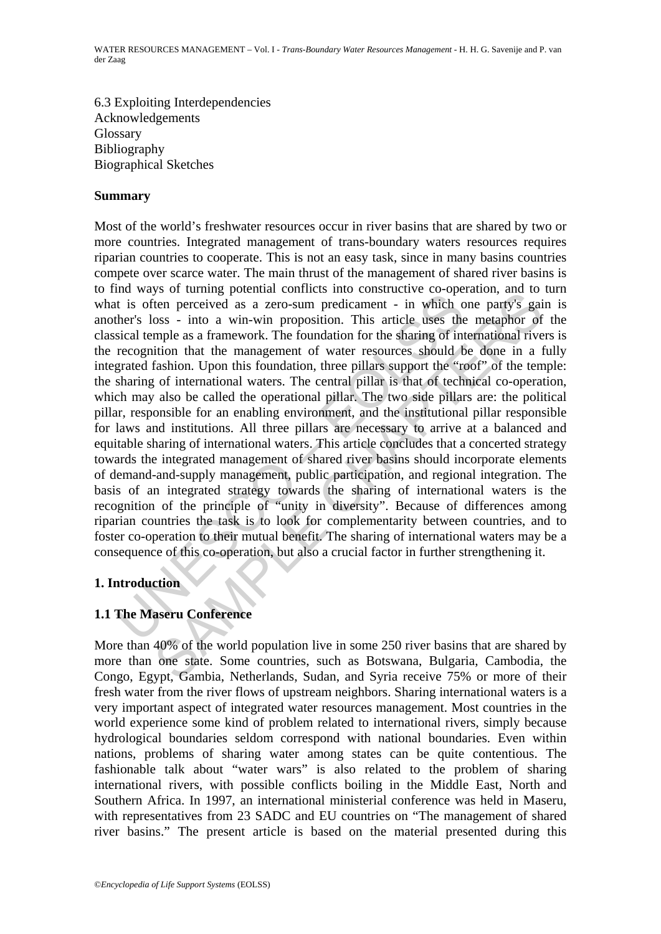6.3 Exploiting Interdependencies Acknowledgements Glossary Bibliography Biographical Sketches

### **Summary**

In a way of channing potential continues and continue and consistence to solve the Massical temple as a zero-sum predicament - in which cher's loss - into a win-win proposition. This article uses the siscal temple as a fra So a tammy potential commutes much constanted to poperation, and to<br>the perceived as a zero-sum predicament - in which one party's gain<br>oss - into a win-win proposition. This article uses the metaphor of<br>mple as a framewor Most of the world's freshwater resources occur in river basins that are shared by two or more countries. Integrated management of trans-boundary waters resources requires riparian countries to cooperate. This is not an easy task, since in many basins countries compete over scarce water. The main thrust of the management of shared river basins is to find ways of turning potential conflicts into constructive co-operation, and to turn what is often perceived as a zero-sum predicament - in which one party's gain is another's loss - into a win-win proposition. This article uses the metaphor of the classical temple as a framework. The foundation for the sharing of international rivers is the recognition that the management of water resources should be done in a fully integrated fashion. Upon this foundation, three pillars support the "roof" of the temple: the sharing of international waters. The central pillar is that of technical co-operation, which may also be called the operational pillar. The two side pillars are: the political pillar, responsible for an enabling environment, and the institutional pillar responsible for laws and institutions. All three pillars are necessary to arrive at a balanced and equitable sharing of international waters. This article concludes that a concerted strategy towards the integrated management of shared river basins should incorporate elements of demand-and-supply management, public participation, and regional integration. The basis of an integrated strategy towards the sharing of international waters is the recognition of the principle of "unity in diversity". Because of differences among riparian countries the task is to look for complementarity between countries, and to foster co-operation to their mutual benefit. The sharing of international waters may be a consequence of this co-operation, but also a crucial factor in further strengthening it.

# **1. Introduction**

# **1.1 The Maseru Conference**

More than 40% of the world population live in some 250 river basins that are shared by more than one state. Some countries, such as Botswana, Bulgaria, Cambodia, the Congo, Egypt, Gambia, Netherlands, Sudan, and Syria receive 75% or more of their fresh water from the river flows of upstream neighbors. Sharing international waters is a very important aspect of integrated water resources management. Most countries in the world experience some kind of problem related to international rivers, simply because hydrological boundaries seldom correspond with national boundaries. Even within nations, problems of sharing water among states can be quite contentious. The fashionable talk about "water wars" is also related to the problem of sharing international rivers, with possible conflicts boiling in the Middle East, North and Southern Africa. In 1997, an international ministerial conference was held in Maseru, with representatives from 23 SADC and EU countries on "The management of shared river basins." The present article is based on the material presented during this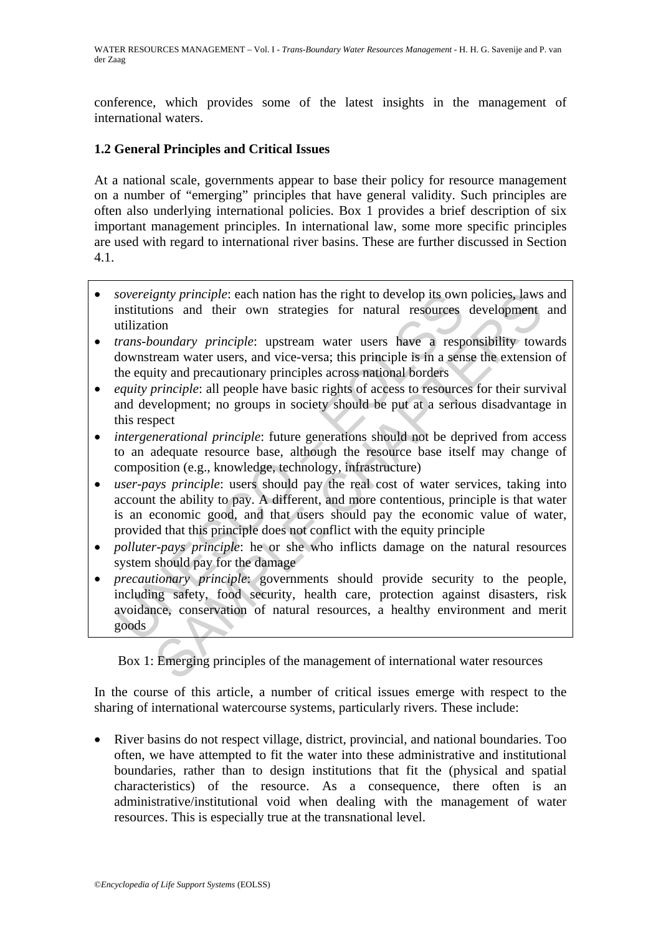conference, which provides some of the latest insights in the management of international waters.

# **1.2 General Principles and Critical Issues**

At a national scale, governments appear to base their policy for resource management on a number of "emerging" principles that have general validity. Such principles are often also underlying international policies. Box 1 provides a brief description of six important management principles. In international law, some more specific principles are used with regard to international river basins. These are further discussed in Section 4.1.

- *sovereignty principle*: each nation has the right to develop its own policies, laws and institutions and their own strategies for natural resources development and utilization
- *trans-boundary principle*: upstream water users have a responsibility towards downstream water users, and vice-versa; this principle is in a sense the extension of the equity and precautionary principles across national borders
- *equity principle*: all people have basic rights of access to resources for their survival and development; no groups in society should be put at a serious disadvantage in this respect
- *intergenerational principle*: future generations should not be deprived from access to an adequate resource base, although the resource base itself may change of composition (e.g., knowledge, technology, infrastructure)
- user-pays principle: users should pay the real cost of water services, taking into account the ability to pay. A different, and more contentious, principle is that water is an economic good, and that users should pay the economic value of water, provided that this principle does not conflict with the equity principle
- *polluter-pays principle*: he or she who inflicts damage on the natural resources system should pay for the damage
- sovereignty principle: each nation has the right to develop its own<br>institutization<br>utilization<br>trans-boundary principle: upstream water users have a resp<br>downstream water users, and vice-versa; this principle is in a sen<br> gnty principle: each nation has the right to develop its own policies, laws<br>ion sand their own strategies for natural resources development<br>ion<br>ion<br>ion<br>ion *oundary principle*: upstream water users have a responsibility to • *precautionary principle*: governments should provide security to the people, including safety, food security, health care, protection against disasters, risk avoidance, conservation of natural resources, a healthy environment and merit goods

Box 1: Emerging principles of the management of international water resources

In the course of this article, a number of critical issues emerge with respect to the sharing of international watercourse systems, particularly rivers. These include:

• River basins do not respect village, district, provincial, and national boundaries. Too often, we have attempted to fit the water into these administrative and institutional boundaries, rather than to design institutions that fit the (physical and spatial characteristics) of the resource. As a consequence, there often is an administrative/institutional void when dealing with the management of water resources. This is especially true at the transnational level.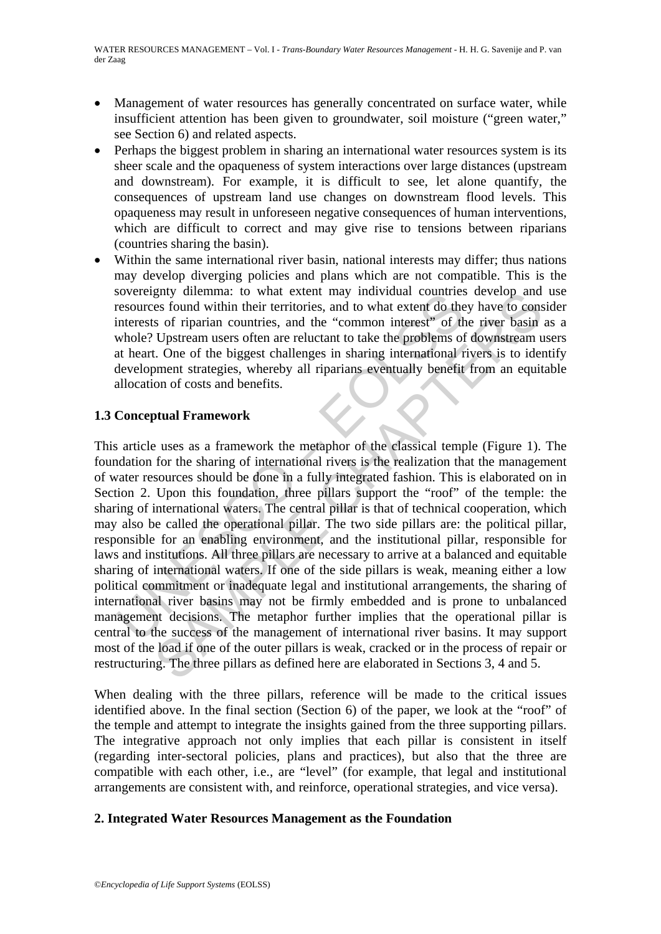- Management of water resources has generally concentrated on surface water, while insufficient attention has been given to groundwater, soil moisture ("green water," see Section 6) and related aspects.
- Perhaps the biggest problem in sharing an international water resources system is its sheer scale and the opaqueness of system interactions over large distances (upstream and downstream). For example, it is difficult to see, let alone quantify, the consequences of upstream land use changes on downstream flood levels. This opaqueness may result in unforeseen negative consequences of human interventions, which are difficult to correct and may give rise to tensions between riparians (countries sharing the basin).
- Within the same international river basin, national interests may differ; thus nations may develop diverging policies and plans which are not compatible. This is the sovereignty dilemma: to what extent may individual countries develop and use resources found within their territories, and to what extent do they have to consider interests of riparian countries, and the "common interest" of the river basin as a whole? Upstream users often are reluctant to take the problems of downstream users at heart. One of the biggest challenges in sharing international rivers is to identify development strategies, whereby all riparians eventually benefit from an equitable allocation of costs and benefits.

### **1.3 Conceptual Framework**

Sovereigny diaminal. to what extern inay into valuat counters<br>
resources found within their territories, and to what extend to the<br>
interests of riparian countries, and the "common interest<sup>85</sup> of th<br>
whole? Upstream users gny dimema: to wat extent may incurvidual countries develop and<br>es found within their territories, and to what extent do they have to cons<br>s of riparian countries, and the "common interest" of the river basin<br>Upstream user This article uses as a framework the metaphor of the classical temple (Figure 1). The foundation for the sharing of international rivers is the realization that the management of water resources should be done in a fully integrated fashion. This is elaborated on in Section 2. Upon this foundation, three pillars support the "roof" of the temple: the sharing of international waters. The central pillar is that of technical cooperation, which may also be called the operational pillar. The two side pillars are: the political pillar, responsible for an enabling environment, and the institutional pillar, responsible for laws and institutions. All three pillars are necessary to arrive at a balanced and equitable sharing of international waters. If one of the side pillars is weak, meaning either a low political commitment or inadequate legal and institutional arrangements, the sharing of international river basins may not be firmly embedded and is prone to unbalanced management decisions. The metaphor further implies that the operational pillar is central to the success of the management of international river basins. It may support most of the load if one of the outer pillars is weak, cracked or in the process of repair or restructuring. The three pillars as defined here are elaborated in Sections 3, 4 and 5.

When dealing with the three pillars, reference will be made to the critical issues identified above. In the final section (Section 6) of the paper, we look at the "roof" of the temple and attempt to integrate the insights gained from the three supporting pillars. The integrative approach not only implies that each pillar is consistent in itself (regarding inter-sectoral policies, plans and practices), but also that the three are compatible with each other, i.e., are "level" (for example, that legal and institutional arrangements are consistent with, and reinforce, operational strategies, and vice versa).

#### **2. Integrated Water Resources Management as the Foundation**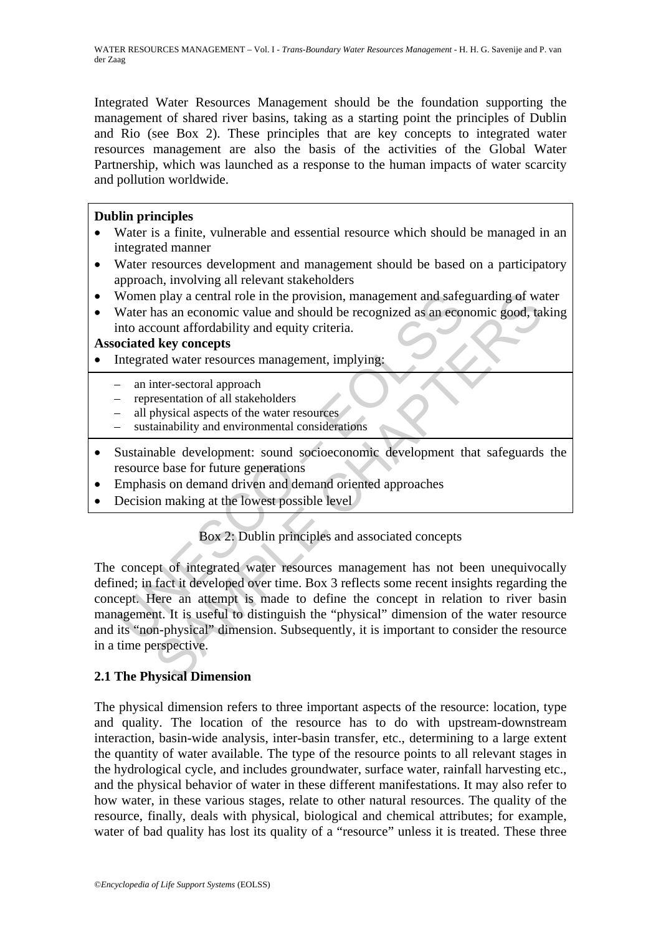Integrated Water Resources Management should be the foundation supporting the management of shared river basins, taking as a starting point the principles of Dublin and Rio (see Box 2). These principles that are key concepts to integrated water resources management are also the basis of the activities of the Global Water Partnership, which was launched as a response to the human impacts of water scarcity and pollution worldwide.

# **Dublin principles**

- Water is a finite, vulnerable and essential resource which should be managed in an integrated manner
- Water resources development and management should be based on a participatory approach, involving all relevant stakeholders
- Women play a central role in the provision, management and safeguarding of water
- Water has an economic value and should be recognized as an economic good, taking into account affordability and equity criteria.

### **Associated key concepts**

- Integrated water resources management, implying:
	- an inter-sectoral approach
	- representation of all stakeholders
	- all physical aspects of the water resources
	- sustainability and environmental considerations
- Sustainable development: sound socioeconomic development that safeguards the resource base for future generations
- Emphasis on demand driven and demand oriented approaches
- Decision making at the lowest possible level

# Box 2: Dublin principles and associated concepts

Women play a central role in the provision, management and safe;<br>
Water has an economic value and should be recognized as an economic value and should be recognized as an economic ocount affordability and equity criteria.<br> n play a central role in the provision, management and safeguarding of was<br>nas an economic value and should be recognized as an economic good, ta<br>count affordability and equity criteria.<br> **Example 2 Example 2 Exampleme** The concept of integrated water resources management has not been unequivocally defined; in fact it developed over time. Box 3 reflects some recent insights regarding the concept. Here an attempt is made to define the concept in relation to river basin management. It is useful to distinguish the "physical" dimension of the water resource and its "non-physical" dimension. Subsequently, it is important to consider the resource in a time perspective.

# **2.1 The Physical Dimension**

The physical dimension refers to three important aspects of the resource: location, type and quality. The location of the resource has to do with upstream-downstream interaction, basin-wide analysis, inter-basin transfer, etc., determining to a large extent the quantity of water available. The type of the resource points to all relevant stages in the hydrological cycle, and includes groundwater, surface water, rainfall harvesting etc., and the physical behavior of water in these different manifestations. It may also refer to how water, in these various stages, relate to other natural resources. The quality of the resource, finally, deals with physical, biological and chemical attributes; for example, water of bad quality has lost its quality of a "resource" unless it is treated. These three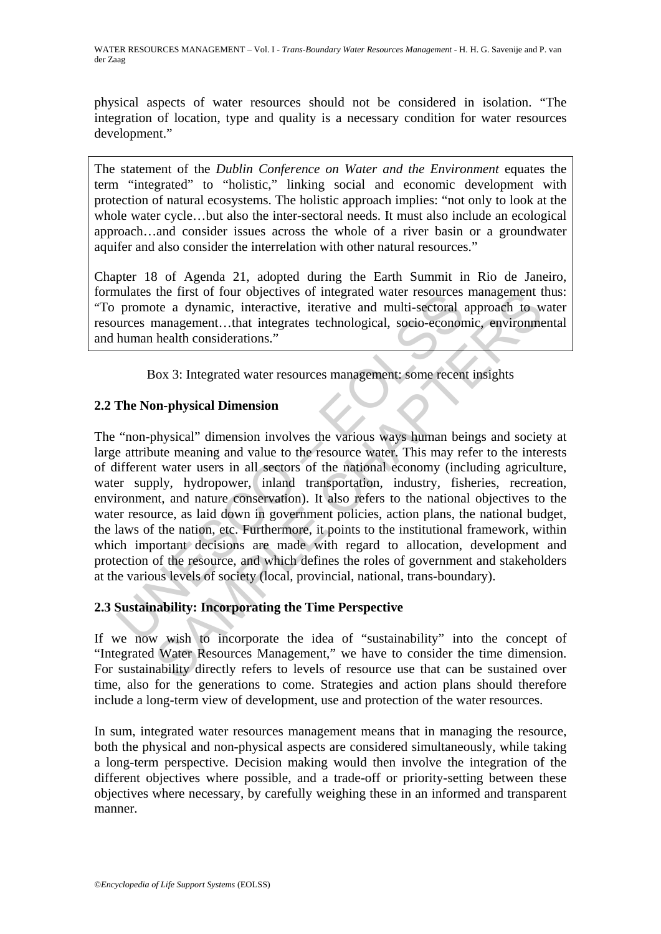physical aspects of water resources should not be considered in isolation. "The integration of location, type and quality is a necessary condition for water resources development."

The statement of the *Dublin Conference on Water and the Environment* equates the term "integrated" to "holistic," linking social and economic development with protection of natural ecosystems. The holistic approach implies: "not only to look at the whole water cycle...but also the inter-sectoral needs. It must also include an ecological approach…and consider issues across the whole of a river basin or a groundwater aquifer and also consider the interrelation with other natural resources."

Chapter 18 of Agenda 21, adopted during the Earth Summit in Rio de Janeiro, formulates the first of four objectives of integrated water resources management thus: "To promote a dynamic, interactive, iterative and multi-sectoral approach to water resources management…that integrates technological, socio-economic, environmental and human health considerations."

Box 3: Integrated water resources management: some recent insights

# **2.2 The Non-physical Dimension**

numates the first of four objectives of integrated water resources<br>promote a dynamic, interactive, iterative and multi-sectoral a<br>urrecs management...that integrates technological, socio-econon<br>human health considerations. the first of four objectives of integrated water resources management the and while sectoral approach to we<br>management...that integrates technological, socio-economic, environme<br>health considerations."<br>beauth consideration The "non-physical" dimension involves the various ways human beings and society at large attribute meaning and value to the resource water. This may refer to the interests of different water users in all sectors of the national economy (including agriculture, water supply, hydropower, inland transportation, industry, fisheries, recreation, environment, and nature conservation). It also refers to the national objectives to the water resource, as laid down in government policies, action plans, the national budget, the laws of the nation, etc. Furthermore, it points to the institutional framework, within which important decisions are made with regard to allocation, development and protection of the resource, and which defines the roles of government and stakeholders at the various levels of society (local, provincial, national, trans-boundary).

# **2.3 Sustainability: Incorporating the Time Perspective**

If we now wish to incorporate the idea of "sustainability" into the concept of "Integrated Water Resources Management," we have to consider the time dimension. For sustainability directly refers to levels of resource use that can be sustained over time, also for the generations to come. Strategies and action plans should therefore include a long-term view of development, use and protection of the water resources.

In sum, integrated water resources management means that in managing the resource, both the physical and non-physical aspects are considered simultaneously, while taking a long-term perspective. Decision making would then involve the integration of the different objectives where possible, and a trade-off or priority-setting between these objectives where necessary, by carefully weighing these in an informed and transparent manner.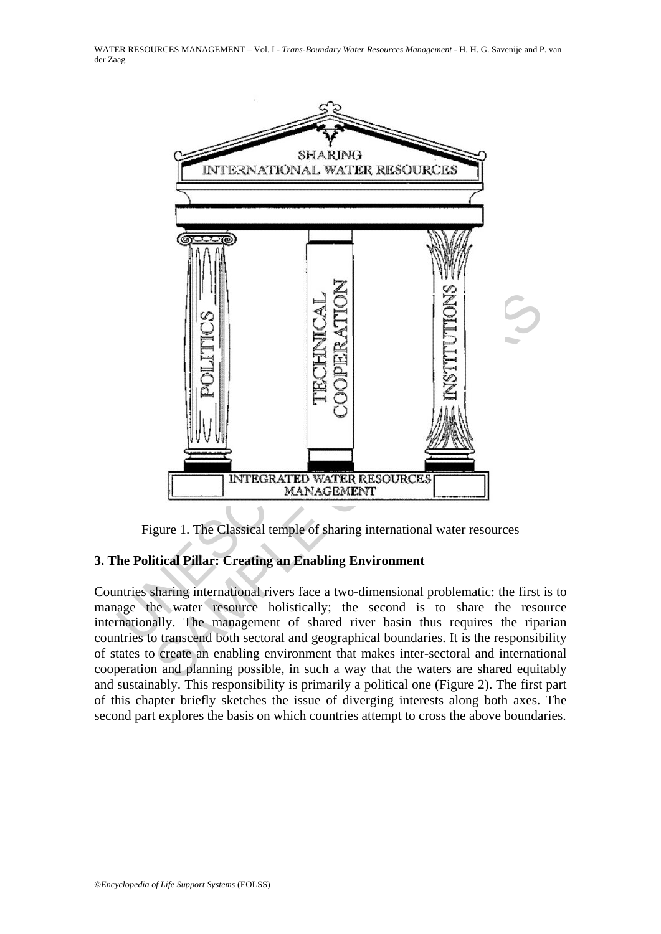WATER RESOURCES MANAGEMENT – Vol. I - *Trans-Boundary Water Resources Management* - H. H. G. Savenije and P. van der Zaag



Figure 1. The Classical temple of sharing international water resources

# **3. The Political Pillar: Creating an Enabling Environment**

Countries sharing international rivers face a two-dimensional problematic: the first is to manage the water resource holistically; the second is to share the resource internationally. The management of shared river basin thus requires the riparian countries to transcend both sectoral and geographical boundaries. It is the responsibility of states to create an enabling environment that makes inter-sectoral and international cooperation and planning possible, in such a way that the waters are shared equitably and sustainably. This responsibility is primarily a political one (Figure 2). The first part of this chapter briefly sketches the issue of diverging interests along both axes. The second part explores the basis on which countries attempt to cross the above boundaries.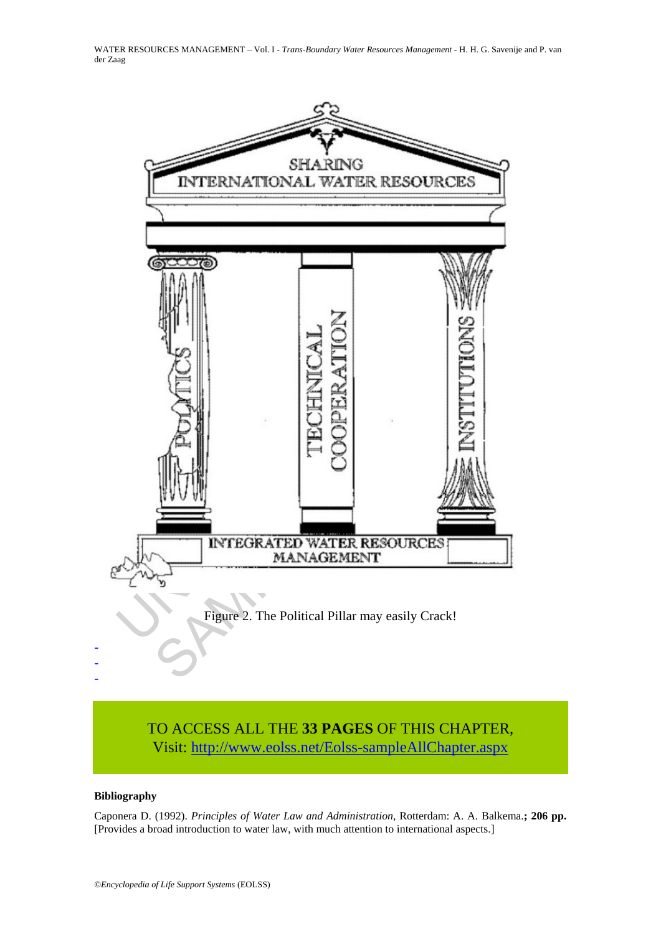WATER RESOURCES MANAGEMENT – Vol. I - *Trans-Boundary Water Resources Management* - H. H. G. Savenije and P. van der Zaag



# TO ACCESS ALL THE **33 PAGES** OF THIS CHAPTER, Visit: [http://www.eolss.net/Eolss-sampleAllChapter.aspx](https://www.eolss.net/ebooklib/sc_cart.aspx?File=E2-16-01-02)

#### **Bibliography**

Caponera D. (1992). *Principles of Water Law and Administration*, Rotterdam: A. A. Balkema.**; 206 pp.** [Provides a broad introduction to water law, with much attention to international aspects.]